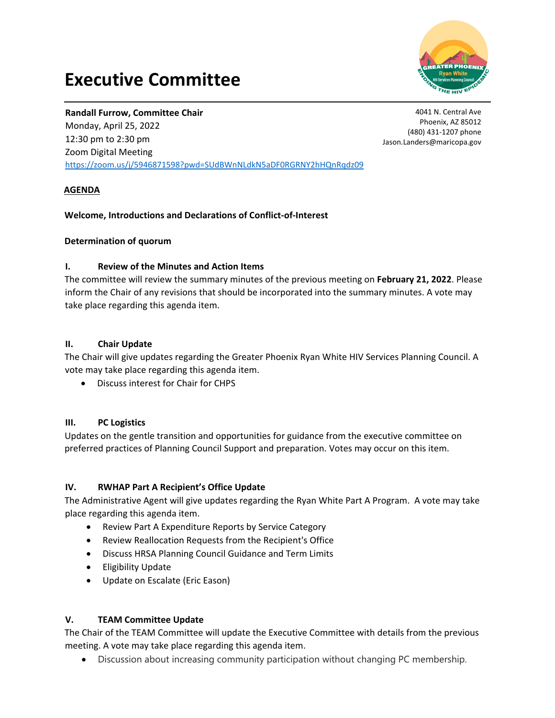# **Executive Committee**



## **Randall Furrow, Committee Chair**

Monday, April 25, 2022 12:30 pm to 2:30 pm Zoom Digital Meeting https://zoom.us/j/5946871598?pwd=SUdBWnNLdkN5aDF0RGRNY2hHQnRqdz09

4041 N. Central Ave Phoenix, AZ 85012 (480) 431‐1207 phone Jason.Landers@maricopa.gov

## **AGENDA**

## **Welcome, Introductions and Declarations of Conflict‐of‐Interest**

## **Determination of quorum**

## **I. Review of the Minutes and Action Items**

The committee will review the summary minutes of the previous meeting on **February 21, 2022**. Please inform the Chair of any revisions that should be incorporated into the summary minutes. A vote may take place regarding this agenda item.

## **II. Chair Update**

The Chair will give updates regarding the Greater Phoenix Ryan White HIV Services Planning Council. A vote may take place regarding this agenda item.

Discuss interest for Chair for CHPS

#### **III. PC Logistics**

Updates on the gentle transition and opportunities for guidance from the executive committee on preferred practices of Planning Council Support and preparation. Votes may occur on this item.

## **IV. RWHAP Part A Recipient's Office Update**

The Administrative Agent will give updates regarding the Ryan White Part A Program. A vote may take place regarding this agenda item.

- Review Part A Expenditure Reports by Service Category
- Review Reallocation Requests from the Recipient's Office
- Discuss HRSA Planning Council Guidance and Term Limits
- Eligibility Update
- Update on Escalate (Eric Eason)

#### **V. TEAM Committee Update**

The Chair of the TEAM Committee will update the Executive Committee with details from the previous meeting. A vote may take place regarding this agenda item.

Discussion about increasing community participation without changing PC membership.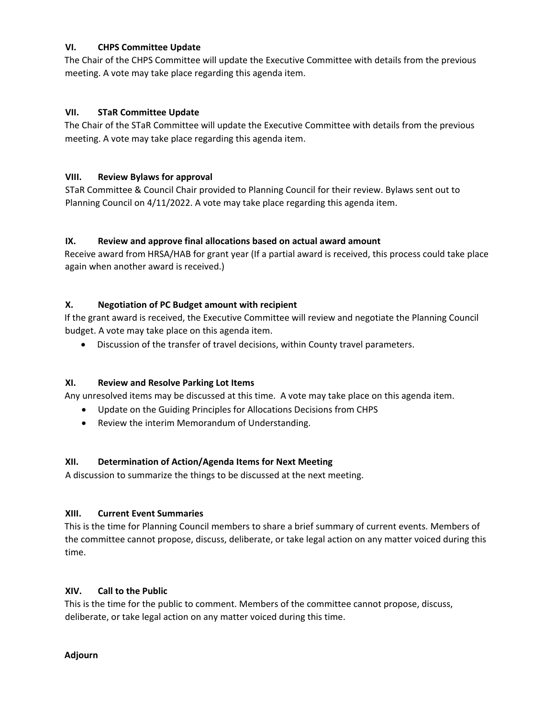## **VI. CHPS Committee Update**

The Chair of the CHPS Committee will update the Executive Committee with details from the previous meeting. A vote may take place regarding this agenda item.

## **VII. STaR Committee Update**

The Chair of the STaR Committee will update the Executive Committee with details from the previous meeting. A vote may take place regarding this agenda item.

## **VIII. Review Bylaws for approval**

STaR Committee & Council Chair provided to Planning Council for their review. Bylaws sent out to Planning Council on 4/11/2022. A vote may take place regarding this agenda item.

#### **IX. Review and approve final allocations based on actual award amount**

Receive award from HRSA/HAB for grant year (If a partial award is received, this process could take place again when another award is received.)

## **X. Negotiation of PC Budget amount with recipient**

If the grant award is received, the Executive Committee will review and negotiate the Planning Council budget. A vote may take place on this agenda item.

Discussion of the transfer of travel decisions, within County travel parameters.

#### **XI. Review and Resolve Parking Lot Items**

Any unresolved items may be discussed at this time. A vote may take place on this agenda item.

- Update on the Guiding Principles for Allocations Decisions from CHPS
- Review the interim Memorandum of Understanding.

#### **XII. Determination of Action/Agenda Items for Next Meeting**

A discussion to summarize the things to be discussed at the next meeting.

#### **XIII. Current Event Summaries**

This is the time for Planning Council members to share a brief summary of current events. Members of the committee cannot propose, discuss, deliberate, or take legal action on any matter voiced during this time.

#### **XIV. Call to the Public**

This is the time for the public to comment. Members of the committee cannot propose, discuss, deliberate, or take legal action on any matter voiced during this time.

**Adjourn**